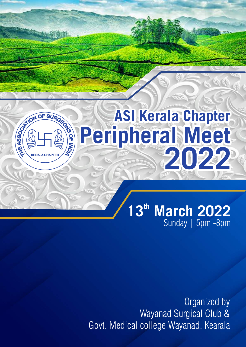# **ASI Kerala Chapter Peripheral Meet 2022**

OCTATION OF SURGES

### **th 13 March 2022** Sunday | 5pm -8pm

Organized by Wayanad Surgical Club & Govt. Medical college Wayanad, Kearala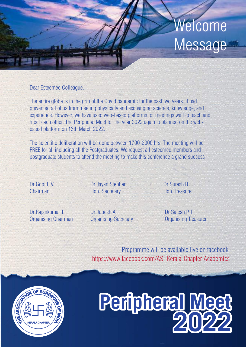## Welcome Message

Dear Esteemed Colleague,

The entire globe is in the grip of the Covid pandemic for the past two years. It had prevented all of us from meeting physically and exchanging science, knowledge, and experience. However, we have used web-based platforms for meetings well to teach and meet each other. The Peripheral Meet for the year 2022 again is planned on the webbased platform on 13th March 2022.

The scientific deliberation will be done between 1700-2000 hrs, The meeting will be FREE for all including all the Postgraduates. We request all esteemed members and postgraduate students to attend the meeting to make this conference a grand success

Dr Gopi E V Dr Jayan Stephen Dr Suresh R Chairman **Hon.** Secretary Hon. Treasurer

Dr Rajankumar T Dr Jubesh A Dr Sajesh P T Organising Chairman Organising Secretary Organising Treasurer

Programme will be available live on facebook: https://www.facebook.com/ASI-Kerala-Chapter-Academics



# **Peripheral Meet 2022**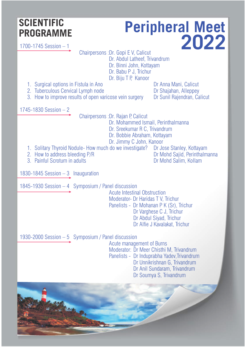#### **SCIENTIFIC PROGRAMME**

### **Peripheral Meet 2022**

1700-1745 Session – 1

Chairpersons :Dr. Gopi E V, Calicut

 Dr. Abdul Latheef, Trivandrum Dr. Binni John, Kottayam Dr. Babu P J, Trichur

Dr. Biju T P, Kanoor

- 
- 

2. Tuberculous Cervical Lymph node **Drepth Contains Constant** Dr Shajahan, Alleppey<br>3. How to improve results of open varicose vein surgery Dr Sunil Rajendran, Calicut 3. How to improve results of open varicose vein surgery

1. Surgical options in Fistula in Ano **Democratism Caliculary Control** 2. Tuberculous Cervical Lymph node **Control Control Control Control Control Control Control Control Control Control Control Control Control Control Con** 

1745-1830 Session – 2

Chairpersons : Dr. Rajan P, Calicut

Dr. Mohammed Ismail, Perinthalmanna

- Dr. Sreekumar R C, Trivandrum
- Dr. Bobbie Abraham, Kottayam
- Dr. Jimmy C John, Kanoor<br>do we investigate? Dr Jose Stanley, Kottayam
- 1. Solitary Thyroid Nodule- How much do we investigate? Dr Jose Stanley, Kottayam<br>2. How to address bleeding P/R<br>Dr Mohd Saiid. Perinthalmanna
- 2. How to address bleeding P/R <br>
2. Painful Scrotum in adults <br>
Dr Mohd Salim, Kollam
- 3. Painful Scrotum in adults

1830-1845 Session – 3 Inauguration

1845-1930 Session – 4 Symposium / Panel discussion

 Acute Intestinal Obstruction Moderator- Dr Haridas T V, Trichur Panelists - Dr Mohanan P K (Sr), Trichur Dr Varghese C J, Trichur Dr Abdul Siyad, Trichur Dr Alfie J Kavalakat, Trichur

1930-2000 Session – 5 Symposium / Panel discussion

 Acute management of Burns Moderator: Dr Meer Chisthi M, Trivandrum Panelists - Dr Induprabha Yadev, Trivandrum Dr Unnikrishnan G, Trivandrum Dr Anil Sundaram, Trivandrum Dr Soumya S, Trivandrum